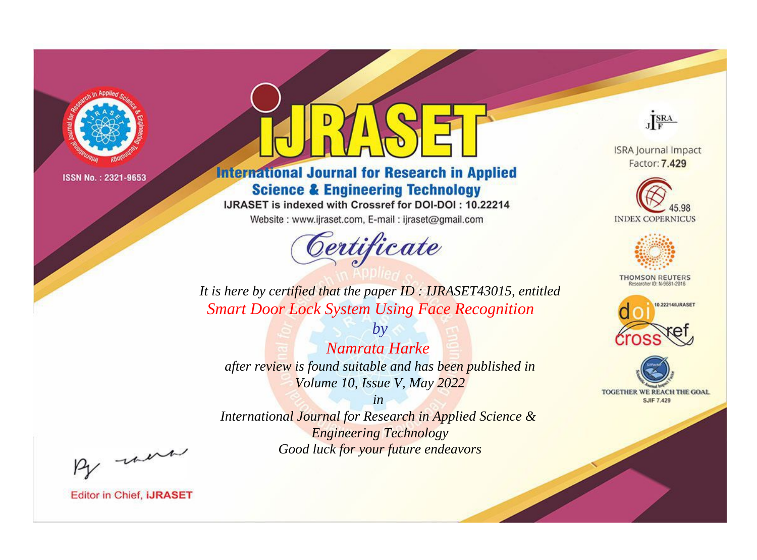

# **International Journal for Research in Applied Science & Engineering Technology**

IJRASET is indexed with Crossref for DOI-DOI: 10.22214

Website: www.ijraset.com, E-mail: ijraset@gmail.com



JERA

**ISRA Journal Impact** Factor: 7.429





**THOMSON REUTERS** 



TOGETHER WE REACH THE GOAL **SJIF 7.429** 

*It is here by certified that the paper ID : IJRASET43015, entitled Smart Door Lock System Using Face Recognition*

*Namrata Harke after review is found suitable and has been published in Volume 10, Issue V, May 2022*

*by*

*in* 

*International Journal for Research in Applied Science & Engineering Technology Good luck for your future endeavors*

By morn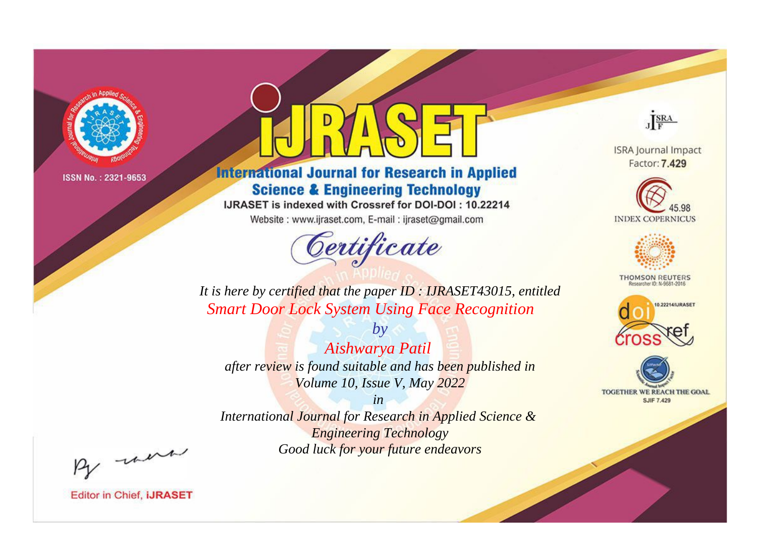

# **International Journal for Research in Applied Science & Engineering Technology**

IJRASET is indexed with Crossref for DOI-DOI: 10.22214

Website: www.ijraset.com, E-mail: ijraset@gmail.com



JERA

**ISRA Journal Impact** Factor: 7.429





**THOMSON REUTERS** 



TOGETHER WE REACH THE GOAL **SJIF 7.429** 

*It is here by certified that the paper ID : IJRASET43015, entitled Smart Door Lock System Using Face Recognition*

*Aishwarya Patil after review is found suitable and has been published in Volume 10, Issue V, May 2022*

*by*

*in* 

*International Journal for Research in Applied Science & Engineering Technology Good luck for your future endeavors*

By morn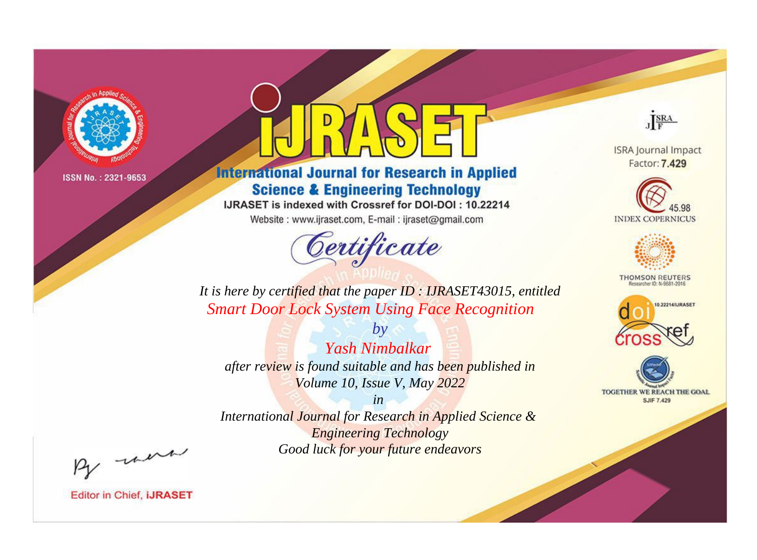

# **International Journal for Research in Applied Science & Engineering Technology**

IJRASET is indexed with Crossref for DOI-DOI: 10.22214

Website: www.ijraset.com, E-mail: ijraset@gmail.com



JERA

**ISRA Journal Impact** Factor: 7.429





**THOMSON REUTERS** 



TOGETHER WE REACH THE GOAL **SJIF 7.429** 

*It is here by certified that the paper ID : IJRASET43015, entitled Smart Door Lock System Using Face Recognition*

*by Yash Nimbalkar after review is found suitable and has been published in Volume 10, Issue V, May 2022*

*in* 

*International Journal for Research in Applied Science & Engineering Technology Good luck for your future endeavors*

By morn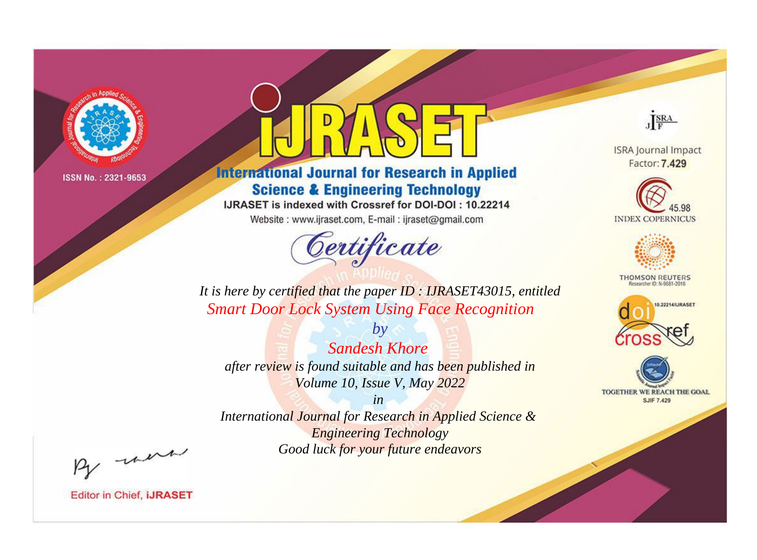

# **International Journal for Research in Applied Science & Engineering Technology**

IJRASET is indexed with Crossref for DOI-DOI: 10.22214

Website: www.ijraset.com, E-mail: ijraset@gmail.com



JERA

**ISRA Journal Impact** Factor: 7.429





**THOMSON REUTERS** 



TOGETHER WE REACH THE GOAL **SJIF 7.429** 

*It is here by certified that the paper ID : IJRASET43015, entitled Smart Door Lock System Using Face Recognition*

*Sandesh Khore after review is found suitable and has been published in Volume 10, Issue V, May 2022*

*by*

*in* 

*International Journal for Research in Applied Science & Engineering Technology Good luck for your future endeavors*

By morn